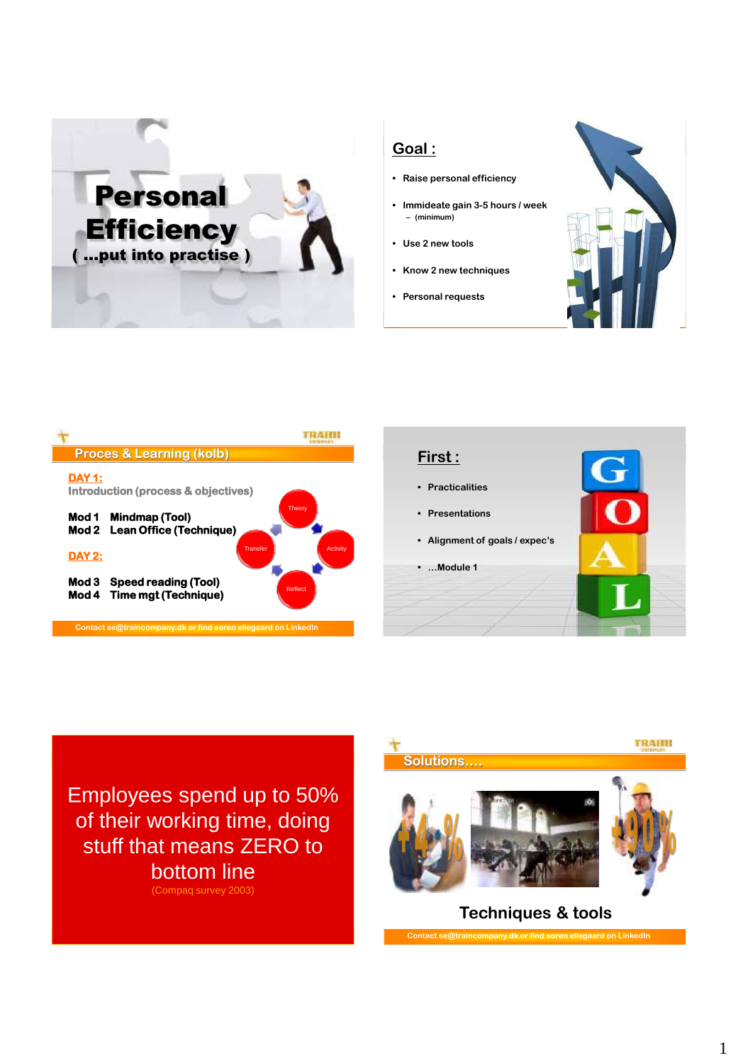

#### **Goal :**

- **• Raise personal efficiency**
- **• Immideate gain 3-5 hours / week – (minimum)**
- **• Use 2 new tools**
- **• Know 2 new techniques**
- **• Personal requests**





<span id="page-0-0"></span>Employees spend up to 50% of their working time, doing stuff that m[ea](http://www.confex.dk/html/konf.jsp)ns ZERO to bottom line (Compaq survey 2003)



**Contact se@traincompany.dk or find soren ellegaard on LinkedIn**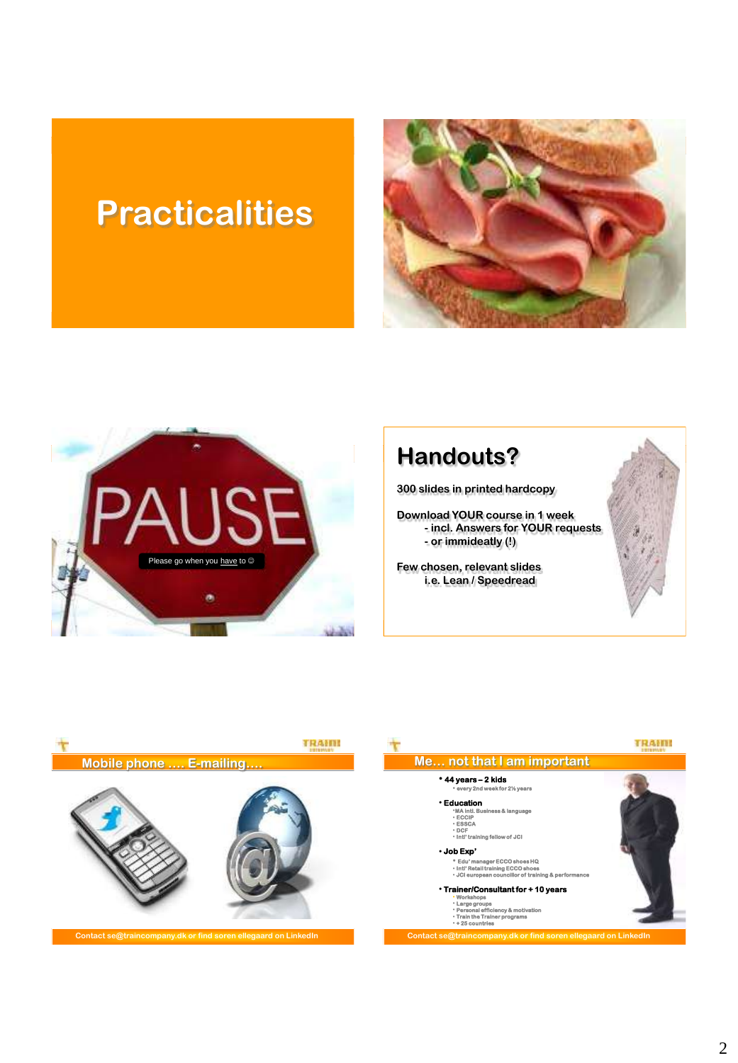## **Practi[c](http://www.confex.dk/html/konf.jsp)alities**





### **Handouts?**

**300 slides in printed hardcopy**

**Download YOUR course in 1 week - incl. Answers for [YOU](http://www.confex.dk/html/konf.jsp)R requests - or immideatly (!)**

**Few chosen, relevant slides i.e. Lean / Speedread**





2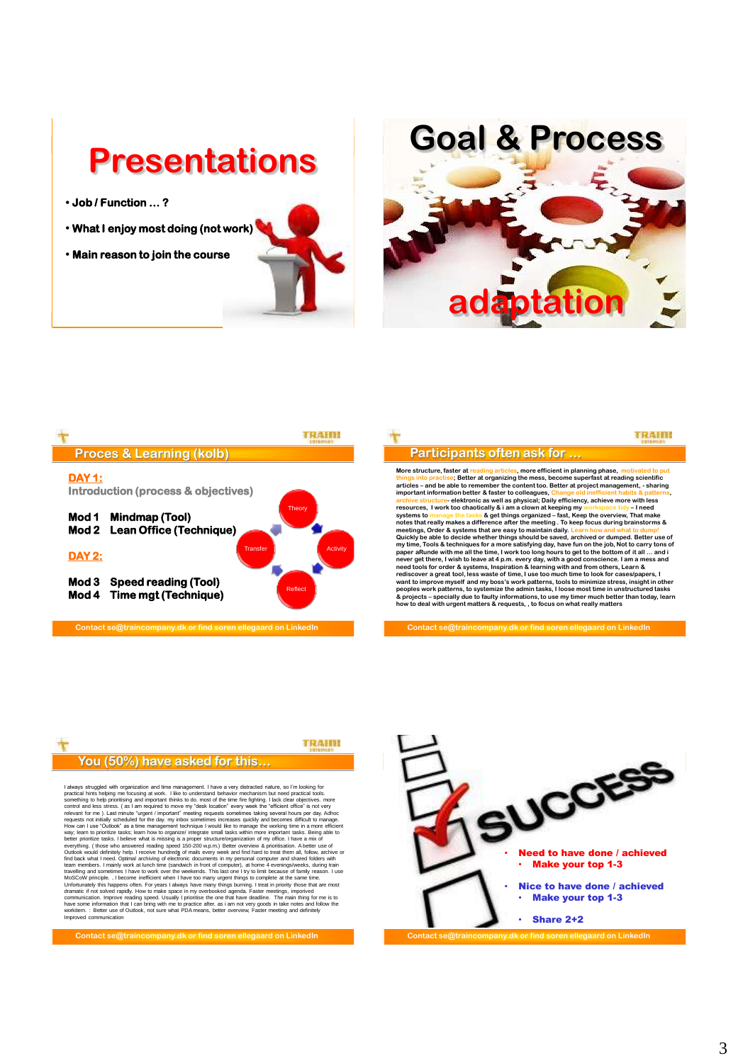## **Presentations**

- **• Job / Function … ?**
- **• What I enjoy most doin[g \(n](http://www.confex.dk/html/konf.jsp)ot work)**
- **• Main reason to join the course**







**Contact se@traincompany.dk or find soren ellegaard on LinkedIn**



**& projects – specially due to faulty informations, to use my timer much better than today, learn how to deal with urgent matters & requests, , to focus on what really matters**

**Contact se@traincompany.dk or find soren ellegaard on LinkedIn**



I always struggled with organization and time management. I have a very distancele nature, so I'm looking for<br>reproduction his helping me focusing at work. I like to understand behavior mechanism but need practical tods.<br>c

**Contact se@traincompany.dk or find soren ellegaard on LinkedIn**

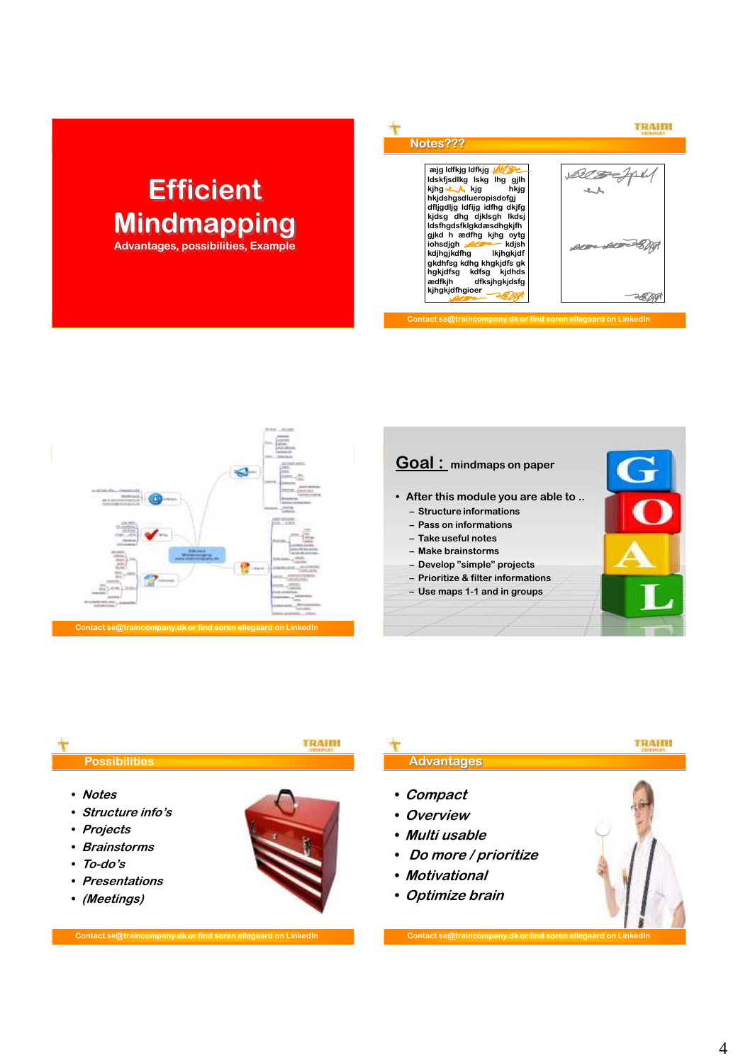### **Efficient Mind[ma](http://www.confex.dk/html/konf.jsp)pping Advantages, possibilities, Example**

| Notes???                                                                                                                                                                                                                                                                                                                                    |             |
|---------------------------------------------------------------------------------------------------------------------------------------------------------------------------------------------------------------------------------------------------------------------------------------------------------------------------------------------|-------------|
| æjg Idfkjg Idfkjg<br>Idskfjsdlkg Iskg Ihg gjlh<br>kjhg - L kjg<br>hkjg<br>hkjdshgsdlueropisdofgj<br>dfligdlig Idfijg idfhg dkifg<br>kidsg dha diklsah Ikdsi<br>ldsfhadsfklakdæsdhakifh<br>gikd h ædfhg kihg oytg<br>iohsdigh we kdish<br>kdihgikdfhg Ikihgkidf<br>gkdhfsg kdhg khakjdfs ak<br>hakidfsa kdfsa kidhds<br>ædfkjh dfksjhgkjdsfg | <u>ange</u> |
| kihakidfhaioer                                                                                                                                                                                                                                                                                                                              |             |

**Contact se@traincompany.dk or find soren ellegaard on LinkedIn**



#### **Goal : mindmaps on paper**

- **• After this module you are able to ..**
	- **– Structure informations**
	- **– Pass on informations**
	- **– Take useful notes**
	- **– Make brainstorms**
	- **– Develop "simple" projects**
	- **– Prioritize & filter informations**
	- **– Use maps 1-1 and in groups**



#### TRAINI TRAINI **Possibilities Advantages• [Compact](#page-0-0)  • [Notes](#page-0-0) • Structure info's • Overview • Projects • Multi usable • Brainstorms • Do more / prioritize • To-do's • Motivational • Presentations • Optimize brain • (Meetings) Contact se@traincompany.dk or find soren ellegaard on LinkedIn Contact se@traincompany.dk or find soren ellegaard on**

I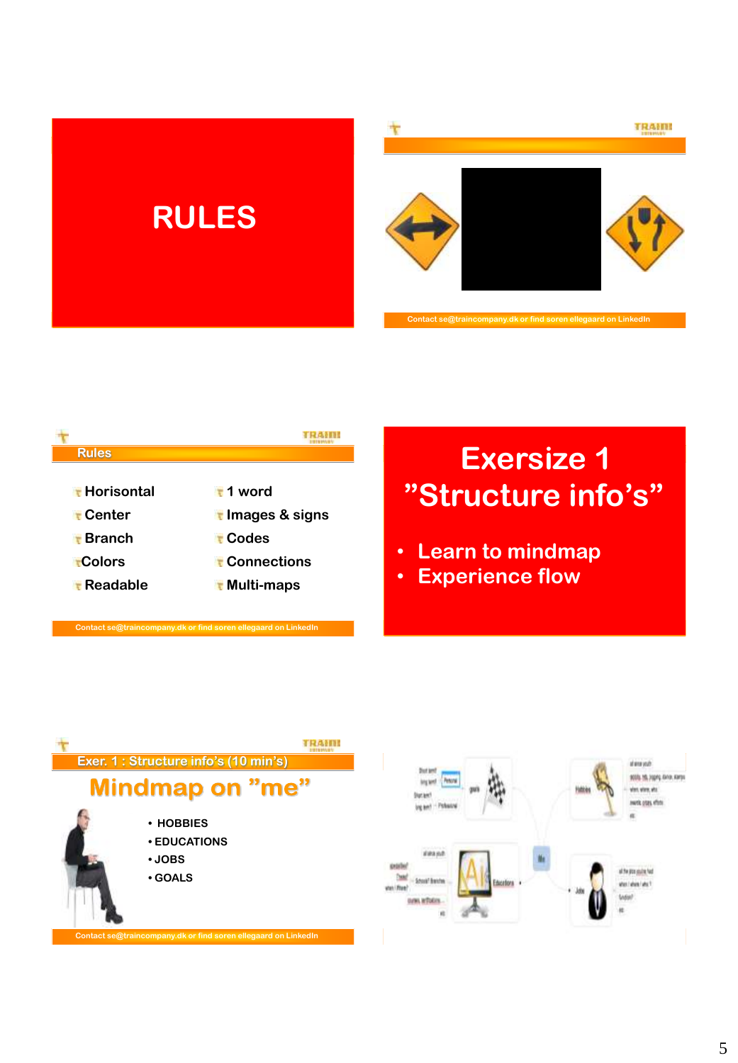# **R[UL](http://www.confex.dk/html/konf.jsp)ES**



**Contact se@traincompany.dk or find soren ellegaard on LinkedIn**



## **Exersize 1 "Structure info's"**

- **Learn to mindmap**
- **Experience flow**

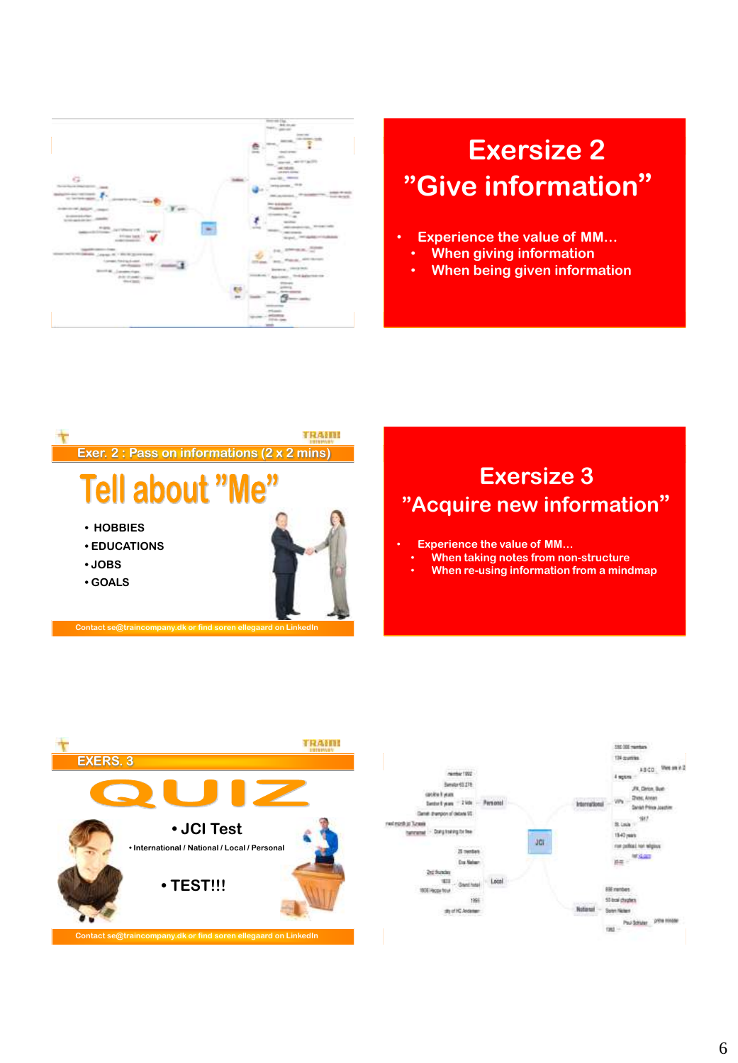

### **Exersize 2 "Give information"**

- **Experience the value of MM…** 
	- **When giving information**
	- **When being given information**



### **Exersize 3 "Acquire new information"**

- **Experience the value of MM…** 
	- **When taking notes from non-structure**
	- **When re-using information from a mindmap**



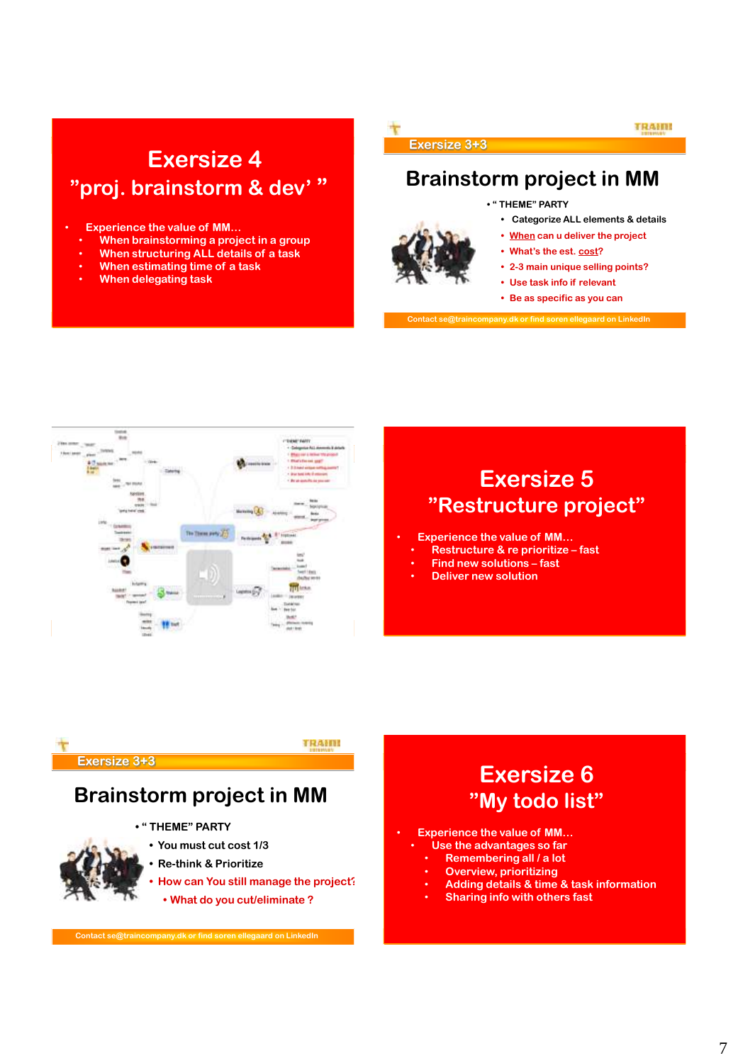### **Exersize 4 "proj. brainstorm & dev' "**

#### • **Experience the value [o](http://www.confex.dk/html/konf.jsp)f MM…**

- **When brainstorming a project in a group**
- **When structuring ALL details of a task**
- **When estimating time of a task**
- **When delegating task**





### **Exersize 5 "Restructure project"**

- **Experience the value [of](http://www.confex.dk/html/konf.jsp) MM…**
- **Restructure & re prioritize – fast**
- **Find new solutions – fast**
- **Deliver new solution**

**Exersize 3+3** 

TRAINI

#### **Brainstorm project in MM**

**• " THEME" PARTY**

- **• You mu[st](http://www.confex.dk/html/konf.jsp) cut cost 1/3**
- **• Re-think & Prioritize**
- **• How can You still manage the project?**
	- **• What do you cut/eliminate ?**

**Contact se@traincompany.dk or find soren ellegaard on LinkedIn**



- **Experience the value of MM…** 
	- **Use the advantag[es](http://www.confex.dk/html/konf.jsp) so far**
		- **Remembering all / a lot**
		- **Overview, prioritizing**
		- **Adding details & time & task information**
	- **Sharing info with others fast**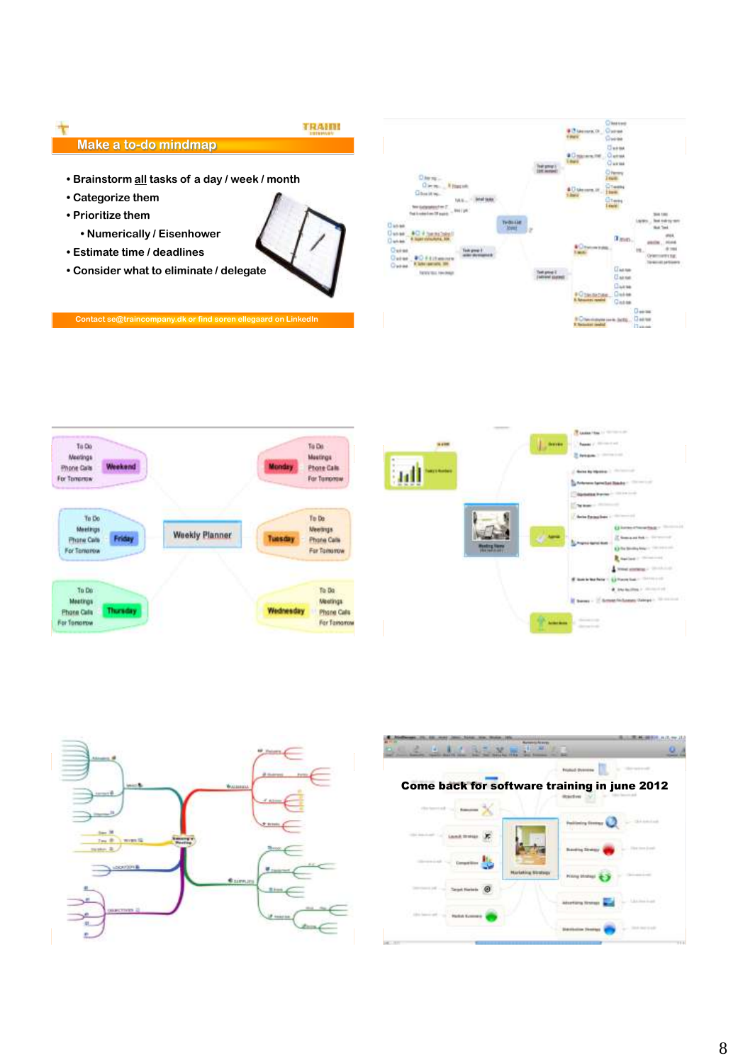